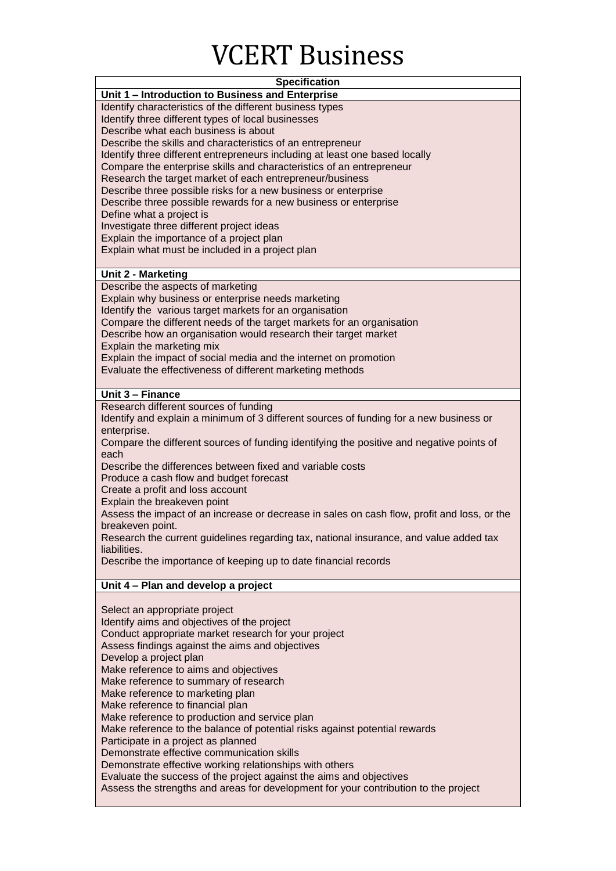## VCERT Business

| <b>Specification</b>                                                                                   |
|--------------------------------------------------------------------------------------------------------|
| Unit 1 - Introduction to Business and Enterprise                                                       |
| Identify characteristics of the different business types                                               |
| Identify three different types of local businesses                                                     |
| Describe what each business is about                                                                   |
| Describe the skills and characteristics of an entrepreneur                                             |
| Identify three different entrepreneurs including at least one based locally                            |
| Compare the enterprise skills and characteristics of an entrepreneur                                   |
| Research the target market of each entrepreneur/business                                               |
| Describe three possible risks for a new business or enterprise                                         |
| Describe three possible rewards for a new business or enterprise                                       |
| Define what a project is                                                                               |
| Investigate three different project ideas                                                              |
| Explain the importance of a project plan                                                               |
| Explain what must be included in a project plan                                                        |
|                                                                                                        |
| <b>Unit 2 - Marketing</b>                                                                              |
| Describe the aspects of marketing                                                                      |
| Explain why business or enterprise needs marketing                                                     |
| Identify the various target markets for an organisation                                                |
| Compare the different needs of the target markets for an organisation                                  |
| Describe how an organisation would research their target market                                        |
| Explain the marketing mix                                                                              |
| Explain the impact of social media and the internet on promotion                                       |
| Evaluate the effectiveness of different marketing methods                                              |
|                                                                                                        |
| Unit 3 - Finance                                                                                       |
| Research different sources of funding                                                                  |
| Identify and explain a minimum of 3 different sources of funding for a new business or                 |
| enterprise.                                                                                            |
| Compare the different sources of funding identifying the positive and negative points of               |
| each                                                                                                   |
| Describe the differences between fixed and variable costs                                              |
| Produce a cash flow and budget forecast                                                                |
| Create a profit and loss account                                                                       |
| Explain the breakeven point                                                                            |
| Assess the impact of an increase or decrease in sales on cash flow, profit and loss, or the            |
| breakeven point.                                                                                       |
| Research the current guidelines regarding tax, national insurance, and value added tax<br>liabilities. |
| Describe the importance of keeping up to date financial records                                        |
|                                                                                                        |
| Unit 4 - Plan and develop a project                                                                    |
|                                                                                                        |
| Select an appropriate project                                                                          |
| Identify aims and objectives of the project                                                            |
| Conduct appropriate market research for your project                                                   |
| Assess findings against the aims and objectives                                                        |
| Develop a project plan                                                                                 |
| Make reference to aims and objectives                                                                  |
| Make reference to summary of research                                                                  |
| Make reference to marketing plan                                                                       |
| Make reference to financial plan                                                                       |
| Make reference to production and service plan                                                          |
| Make reference to the balance of potential risks against potential rewards                             |
| Participate in a project as planned                                                                    |
| Demonstrate effective communication skills                                                             |
| Demonstrate effective working relationships with others                                                |
| Evaluate the success of the project against the aims and objectives                                    |

Assess the strengths and areas for development for your contribution to the project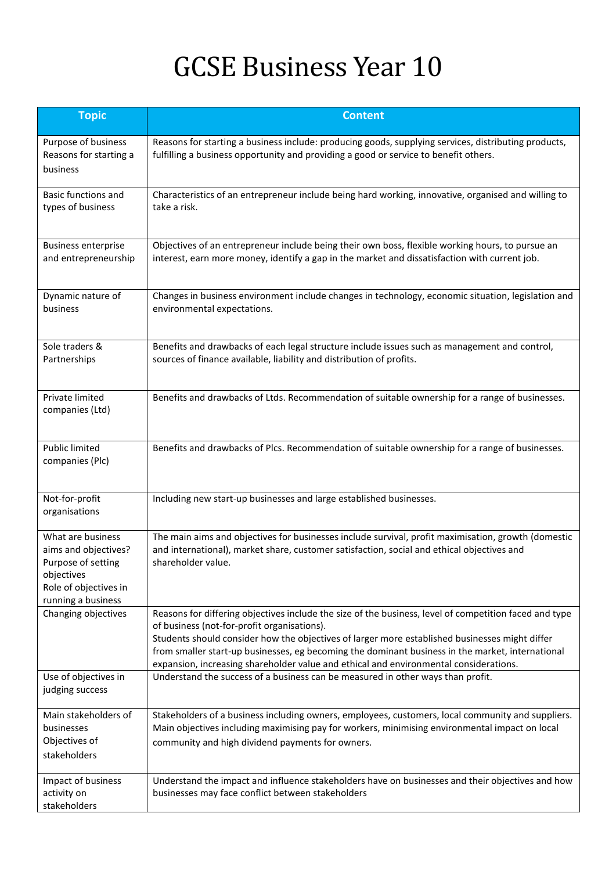## GCSE Business Year 10

| <b>Topic</b>                                                                                                                 | <b>Content</b>                                                                                                                                                                                                                                                                                                                                                                                                                                       |
|------------------------------------------------------------------------------------------------------------------------------|------------------------------------------------------------------------------------------------------------------------------------------------------------------------------------------------------------------------------------------------------------------------------------------------------------------------------------------------------------------------------------------------------------------------------------------------------|
| Purpose of business<br>Reasons for starting a<br>business                                                                    | Reasons for starting a business include: producing goods, supplying services, distributing products,<br>fulfilling a business opportunity and providing a good or service to benefit others.                                                                                                                                                                                                                                                         |
| Basic functions and<br>types of business                                                                                     | Characteristics of an entrepreneur include being hard working, innovative, organised and willing to<br>take a risk.                                                                                                                                                                                                                                                                                                                                  |
| <b>Business enterprise</b><br>and entrepreneurship                                                                           | Objectives of an entrepreneur include being their own boss, flexible working hours, to pursue an<br>interest, earn more money, identify a gap in the market and dissatisfaction with current job.                                                                                                                                                                                                                                                    |
| Dynamic nature of<br>business                                                                                                | Changes in business environment include changes in technology, economic situation, legislation and<br>environmental expectations.                                                                                                                                                                                                                                                                                                                    |
| Sole traders &<br>Partnerships                                                                                               | Benefits and drawbacks of each legal structure include issues such as management and control,<br>sources of finance available, liability and distribution of profits.                                                                                                                                                                                                                                                                                |
| Private limited<br>companies (Ltd)                                                                                           | Benefits and drawbacks of Ltds. Recommendation of suitable ownership for a range of businesses.                                                                                                                                                                                                                                                                                                                                                      |
| <b>Public limited</b><br>companies (Plc)                                                                                     | Benefits and drawbacks of Plcs. Recommendation of suitable ownership for a range of businesses.                                                                                                                                                                                                                                                                                                                                                      |
| Not-for-profit<br>organisations                                                                                              | Including new start-up businesses and large established businesses.                                                                                                                                                                                                                                                                                                                                                                                  |
| What are business<br>aims and objectives?<br>Purpose of setting<br>objectives<br>Role of objectives in<br>running a business | The main aims and objectives for businesses include survival, profit maximisation, growth (domestic<br>and international), market share, customer satisfaction, social and ethical objectives and<br>shareholder value.                                                                                                                                                                                                                              |
| Changing objectives                                                                                                          | Reasons for differing objectives include the size of the business, level of competition faced and type<br>of business (not-for-profit organisations).<br>Students should consider how the objectives of larger more established businesses might differ<br>from smaller start-up businesses, eg becoming the dominant business in the market, international<br>expansion, increasing shareholder value and ethical and environmental considerations. |
| Use of objectives in<br>judging success                                                                                      | Understand the success of a business can be measured in other ways than profit.                                                                                                                                                                                                                                                                                                                                                                      |
| Main stakeholders of<br>businesses<br>Objectives of<br>stakeholders                                                          | Stakeholders of a business including owners, employees, customers, local community and suppliers.<br>Main objectives including maximising pay for workers, minimising environmental impact on local<br>community and high dividend payments for owners.                                                                                                                                                                                              |
| Impact of business<br>activity on<br>stakeholders                                                                            | Understand the impact and influence stakeholders have on businesses and their objectives and how<br>businesses may face conflict between stakeholders                                                                                                                                                                                                                                                                                                |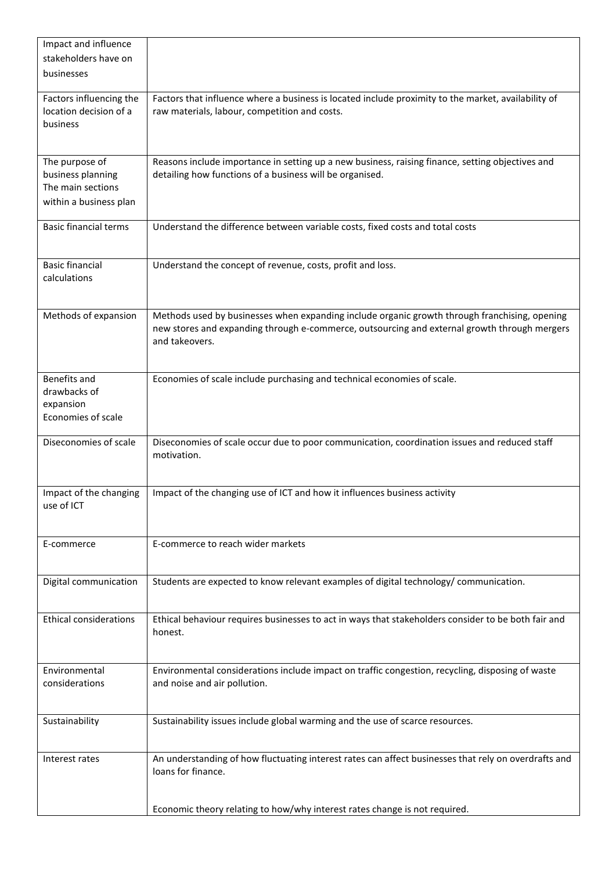| Impact and influence<br>stakeholders have on<br>businesses                         |                                                                                                                                                                                                                 |
|------------------------------------------------------------------------------------|-----------------------------------------------------------------------------------------------------------------------------------------------------------------------------------------------------------------|
| Factors influencing the<br>location decision of a<br>business                      | Factors that influence where a business is located include proximity to the market, availability of<br>raw materials, labour, competition and costs.                                                            |
| The purpose of<br>business planning<br>The main sections<br>within a business plan | Reasons include importance in setting up a new business, raising finance, setting objectives and<br>detailing how functions of a business will be organised.                                                    |
| <b>Basic financial terms</b>                                                       | Understand the difference between variable costs, fixed costs and total costs                                                                                                                                   |
| <b>Basic financial</b><br>calculations                                             | Understand the concept of revenue, costs, profit and loss.                                                                                                                                                      |
| Methods of expansion                                                               | Methods used by businesses when expanding include organic growth through franchising, opening<br>new stores and expanding through e-commerce, outsourcing and external growth through mergers<br>and takeovers. |
| Benefits and<br>drawbacks of<br>expansion<br>Economies of scale                    | Economies of scale include purchasing and technical economies of scale.                                                                                                                                         |
| Diseconomies of scale                                                              | Diseconomies of scale occur due to poor communication, coordination issues and reduced staff<br>motivation.                                                                                                     |
| Impact of the changing<br>use of ICT                                               | Impact of the changing use of ICT and how it influences business activity                                                                                                                                       |
| E-commerce                                                                         | E-commerce to reach wider markets                                                                                                                                                                               |
| Digital communication                                                              | Students are expected to know relevant examples of digital technology/ communication.                                                                                                                           |
| <b>Ethical considerations</b>                                                      | Ethical behaviour requires businesses to act in ways that stakeholders consider to be both fair and<br>honest.                                                                                                  |
| Environmental<br>considerations                                                    | Environmental considerations include impact on traffic congestion, recycling, disposing of waste<br>and noise and air pollution.                                                                                |
| Sustainability                                                                     | Sustainability issues include global warming and the use of scarce resources.                                                                                                                                   |
| Interest rates                                                                     | An understanding of how fluctuating interest rates can affect businesses that rely on overdrafts and<br>loans for finance.                                                                                      |
|                                                                                    | Economic theory relating to how/why interest rates change is not required.                                                                                                                                      |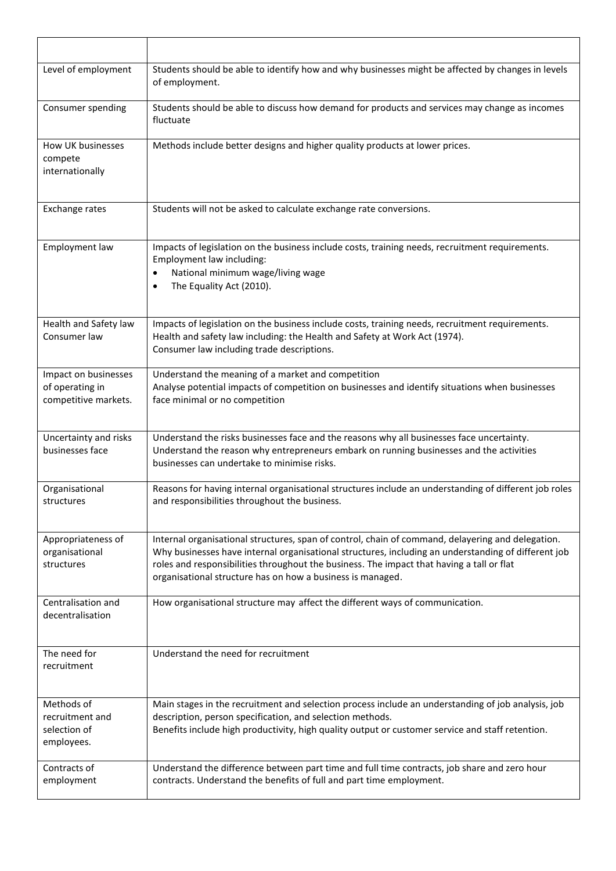| Level of employment                                             | Students should be able to identify how and why businesses might be affected by changes in levels<br>of employment.                                                                                                                                                                                                                                                 |
|-----------------------------------------------------------------|---------------------------------------------------------------------------------------------------------------------------------------------------------------------------------------------------------------------------------------------------------------------------------------------------------------------------------------------------------------------|
| Consumer spending                                               | Students should be able to discuss how demand for products and services may change as incomes<br>fluctuate                                                                                                                                                                                                                                                          |
| How UK businesses<br>compete<br>internationally                 | Methods include better designs and higher quality products at lower prices.                                                                                                                                                                                                                                                                                         |
| Exchange rates                                                  | Students will not be asked to calculate exchange rate conversions.                                                                                                                                                                                                                                                                                                  |
| Employment law                                                  | Impacts of legislation on the business include costs, training needs, recruitment requirements.<br>Employment law including:<br>National minimum wage/living wage<br>$\bullet$<br>The Equality Act (2010).<br>$\bullet$                                                                                                                                             |
| Health and Safety law<br>Consumer law                           | Impacts of legislation on the business include costs, training needs, recruitment requirements.<br>Health and safety law including: the Health and Safety at Work Act (1974).<br>Consumer law including trade descriptions.                                                                                                                                         |
| Impact on businesses<br>of operating in<br>competitive markets. | Understand the meaning of a market and competition<br>Analyse potential impacts of competition on businesses and identify situations when businesses<br>face minimal or no competition                                                                                                                                                                              |
| Uncertainty and risks<br>businesses face                        | Understand the risks businesses face and the reasons why all businesses face uncertainty.<br>Understand the reason why entrepreneurs embark on running businesses and the activities<br>businesses can undertake to minimise risks.                                                                                                                                 |
| Organisational<br>structures                                    | Reasons for having internal organisational structures include an understanding of different job roles<br>and responsibilities throughout the business.                                                                                                                                                                                                              |
| Appropriateness of<br>organisational<br>structures              | Internal organisational structures, span of control, chain of command, delayering and delegation.<br>Why businesses have internal organisational structures, including an understanding of different job<br>roles and responsibilities throughout the business. The impact that having a tall or flat<br>organisational structure has on how a business is managed. |
| Centralisation and<br>decentralisation                          | How organisational structure may affect the different ways of communication.                                                                                                                                                                                                                                                                                        |
| The need for<br>recruitment                                     | Understand the need for recruitment                                                                                                                                                                                                                                                                                                                                 |
| Methods of<br>recruitment and<br>selection of<br>employees.     | Main stages in the recruitment and selection process include an understanding of job analysis, job<br>description, person specification, and selection methods.<br>Benefits include high productivity, high quality output or customer service and staff retention.                                                                                                 |
| Contracts of<br>employment                                      | Understand the difference between part time and full time contracts, job share and zero hour<br>contracts. Understand the benefits of full and part time employment.                                                                                                                                                                                                |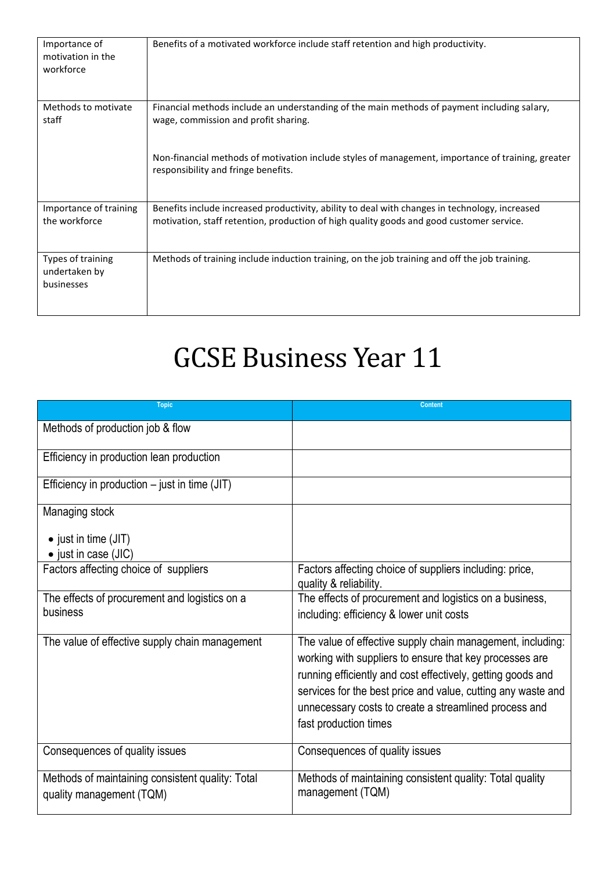| Importance of<br>motivation in the<br>workforce  | Benefits of a motivated workforce include staff retention and high productivity.                                                                                                           |
|--------------------------------------------------|--------------------------------------------------------------------------------------------------------------------------------------------------------------------------------------------|
| Methods to motivate<br>staff                     | Financial methods include an understanding of the main methods of payment including salary,<br>wage, commission and profit sharing.                                                        |
|                                                  | Non-financial methods of motivation include styles of management, importance of training, greater<br>responsibility and fringe benefits.                                                   |
| Importance of training<br>the workforce          | Benefits include increased productivity, ability to deal with changes in technology, increased<br>motivation, staff retention, production of high quality goods and good customer service. |
| Types of training<br>undertaken by<br>businesses | Methods of training include induction training, on the job training and off the job training.                                                                                              |

## GCSE Business Year 11

| <b>Topic</b>                                                                 | <b>Content</b>                                                                                                                                                                                                                                                                                                                         |
|------------------------------------------------------------------------------|----------------------------------------------------------------------------------------------------------------------------------------------------------------------------------------------------------------------------------------------------------------------------------------------------------------------------------------|
| Methods of production job & flow                                             |                                                                                                                                                                                                                                                                                                                                        |
| Efficiency in production lean production                                     |                                                                                                                                                                                                                                                                                                                                        |
| Efficiency in production $-$ just in time (JIT)                              |                                                                                                                                                                                                                                                                                                                                        |
| Managing stock                                                               |                                                                                                                                                                                                                                                                                                                                        |
| $\bullet$ just in time (JIT)                                                 |                                                                                                                                                                                                                                                                                                                                        |
| • just in case (JIC)                                                         |                                                                                                                                                                                                                                                                                                                                        |
| Factors affecting choice of suppliers                                        | Factors affecting choice of suppliers including: price,<br>quality & reliability.                                                                                                                                                                                                                                                      |
| The effects of procurement and logistics on a                                | The effects of procurement and logistics on a business,                                                                                                                                                                                                                                                                                |
| business                                                                     | including: efficiency & lower unit costs                                                                                                                                                                                                                                                                                               |
| The value of effective supply chain management                               | The value of effective supply chain management, including:<br>working with suppliers to ensure that key processes are<br>running efficiently and cost effectively, getting goods and<br>services for the best price and value, cutting any waste and<br>unnecessary costs to create a streamlined process and<br>fast production times |
| Consequences of quality issues                                               | Consequences of quality issues                                                                                                                                                                                                                                                                                                         |
| Methods of maintaining consistent quality: Total<br>quality management (TQM) | Methods of maintaining consistent quality: Total quality<br>management (TQM)                                                                                                                                                                                                                                                           |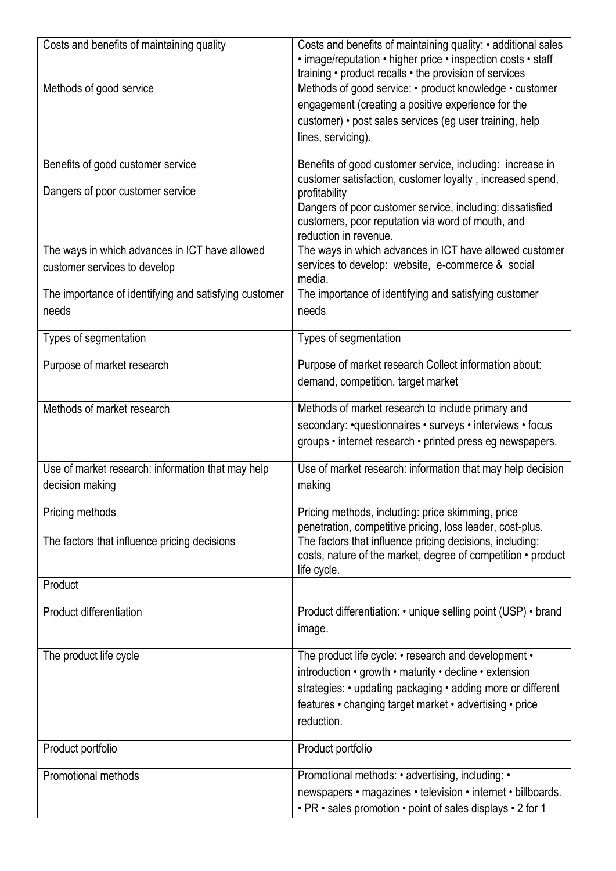| Costs and benefits of maintaining quality                                      | Costs and benefits of maintaining quality: • additional sales<br>• image/reputation • higher price • inspection costs • staff<br>training • product recalls • the provision of services                                                                |
|--------------------------------------------------------------------------------|--------------------------------------------------------------------------------------------------------------------------------------------------------------------------------------------------------------------------------------------------------|
| Methods of good service                                                        | Methods of good service: • product knowledge • customer<br>engagement (creating a positive experience for the<br>customer) • post sales services (eg user training, help<br>lines, servicing).                                                         |
| Benefits of good customer service                                              | Benefits of good customer service, including: increase in<br>customer satisfaction, customer loyalty, increased spend,                                                                                                                                 |
| Dangers of poor customer service                                               | profitability<br>Dangers of poor customer service, including: dissatisfied<br>customers, poor reputation via word of mouth, and<br>reduction in revenue.                                                                                               |
| The ways in which advances in ICT have allowed<br>customer services to develop | The ways in which advances in ICT have allowed customer<br>services to develop: website, e-commerce & social<br>media.                                                                                                                                 |
| The importance of identifying and satisfying customer                          | The importance of identifying and satisfying customer                                                                                                                                                                                                  |
| needs                                                                          | needs                                                                                                                                                                                                                                                  |
| Types of segmentation                                                          | Types of segmentation                                                                                                                                                                                                                                  |
| Purpose of market research                                                     | Purpose of market research Collect information about:<br>demand, competition, target market                                                                                                                                                            |
| Methods of market research                                                     | Methods of market research to include primary and<br>secondary: • questionnaires • surveys • interviews • focus<br>groups • internet research • printed press eg newspapers.                                                                           |
| Use of market research: information that may help                              | Use of market research: information that may help decision                                                                                                                                                                                             |
| decision making                                                                | making                                                                                                                                                                                                                                                 |
| Pricing methods                                                                | Pricing methods, including: price skimming, price<br>penetration, competitive pricing, loss leader, cost-plus.                                                                                                                                         |
| The factors that influence pricing decisions                                   | The factors that influence pricing decisions, including:<br>costs, nature of the market, degree of competition • product<br>life cycle.                                                                                                                |
| Product                                                                        |                                                                                                                                                                                                                                                        |
| Product differentiation                                                        | Product differentiation: • unique selling point (USP) • brand<br>image.                                                                                                                                                                                |
| The product life cycle                                                         | The product life cycle: • research and development •<br>introduction • growth • maturity • decline • extension<br>strategies: • updating packaging • adding more or different<br>features • changing target market • advertising • price<br>reduction. |
| Product portfolio                                                              | Product portfolio                                                                                                                                                                                                                                      |
| <b>Promotional methods</b>                                                     | Promotional methods: • advertising, including: •<br>newspapers • magazines • television • internet • billboards.<br>· PR · sales promotion · point of sales displays · 2 for 1                                                                         |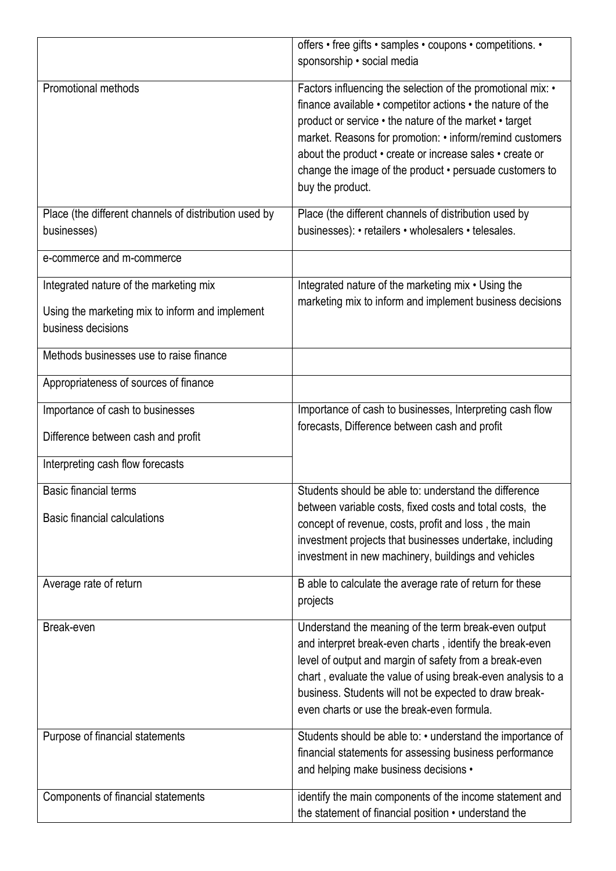|                                                                                                                 | offers • free gifts • samples • coupons • competitions. •<br>sponsorship · social media                                                                                                                                                                                                                                                                                                    |
|-----------------------------------------------------------------------------------------------------------------|--------------------------------------------------------------------------------------------------------------------------------------------------------------------------------------------------------------------------------------------------------------------------------------------------------------------------------------------------------------------------------------------|
| <b>Promotional methods</b>                                                                                      | Factors influencing the selection of the promotional mix: •<br>finance available • competitor actions • the nature of the<br>product or service • the nature of the market • target<br>market. Reasons for promotion: • inform/remind customers<br>about the product • create or increase sales • create or<br>change the image of the product • persuade customers to<br>buy the product. |
| Place (the different channels of distribution used by<br>businesses)                                            | Place (the different channels of distribution used by<br>businesses): • retailers • wholesalers • telesales.                                                                                                                                                                                                                                                                               |
| e-commerce and m-commerce                                                                                       |                                                                                                                                                                                                                                                                                                                                                                                            |
| Integrated nature of the marketing mix<br>Using the marketing mix to inform and implement<br>business decisions | Integrated nature of the marketing mix • Using the<br>marketing mix to inform and implement business decisions                                                                                                                                                                                                                                                                             |
| Methods businesses use to raise finance                                                                         |                                                                                                                                                                                                                                                                                                                                                                                            |
| Appropriateness of sources of finance                                                                           |                                                                                                                                                                                                                                                                                                                                                                                            |
| Importance of cash to businesses                                                                                | Importance of cash to businesses, Interpreting cash flow                                                                                                                                                                                                                                                                                                                                   |
| Difference between cash and profit                                                                              | forecasts, Difference between cash and profit                                                                                                                                                                                                                                                                                                                                              |
| Interpreting cash flow forecasts                                                                                |                                                                                                                                                                                                                                                                                                                                                                                            |
| <b>Basic financial terms</b><br><b>Basic financial calculations</b>                                             | Students should be able to: understand the difference<br>between variable costs, fixed costs and total costs, the<br>concept of revenue, costs, profit and loss, the main<br>investment projects that businesses undertake, including<br>investment in new machinery, buildings and vehicles                                                                                               |
| Average rate of return                                                                                          | B able to calculate the average rate of return for these<br>projects                                                                                                                                                                                                                                                                                                                       |
| Break-even                                                                                                      | Understand the meaning of the term break-even output<br>and interpret break-even charts, identify the break-even<br>level of output and margin of safety from a break-even<br>chart, evaluate the value of using break-even analysis to a<br>business. Students will not be expected to draw break-<br>even charts or use the break-even formula.                                          |
| Purpose of financial statements                                                                                 | Students should be able to: • understand the importance of<br>financial statements for assessing business performance<br>and helping make business decisions •                                                                                                                                                                                                                             |
| Components of financial statements                                                                              | identify the main components of the income statement and<br>the statement of financial position • understand the                                                                                                                                                                                                                                                                           |